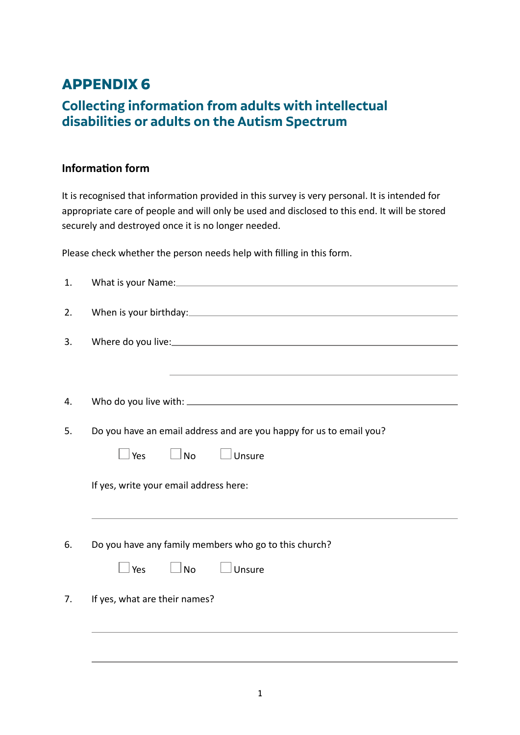## **APPENDIX 6**

## **Collecting information from adults with intellectual disabilities or adults on the Autism Spectrum**

## **Information form**

It is recognised that information provided in this survey is very personal. It is intended for appropriate care of people and will only be used and disclosed to this end. It will be stored securely and destroyed once it is no longer needed.

Please check whether the person needs help with filling in this form.

| the control of the control of the control of the control of the control of the control of the control of the control of the control of the control of the control of the control of the control of the control of the control |
|-------------------------------------------------------------------------------------------------------------------------------------------------------------------------------------------------------------------------------|
|                                                                                                                                                                                                                               |
|                                                                                                                                                                                                                               |
|                                                                                                                                                                                                                               |
| Do you have an email address and are you happy for us to email you?                                                                                                                                                           |
| Unsure<br>Yes<br>$\Box$ No                                                                                                                                                                                                    |
|                                                                                                                                                                                                                               |
| If yes, write your email address here:                                                                                                                                                                                        |
|                                                                                                                                                                                                                               |
|                                                                                                                                                                                                                               |
|                                                                                                                                                                                                                               |
| Do you have any family members who go to this church?                                                                                                                                                                         |
|                                                                                                                                                                                                                               |
| $\vert$ Unsure<br>Yes<br>$\Box$ No                                                                                                                                                                                            |
|                                                                                                                                                                                                                               |
| If yes, what are their names?                                                                                                                                                                                                 |
|                                                                                                                                                                                                                               |
|                                                                                                                                                                                                                               |
|                                                                                                                                                                                                                               |
|                                                                                                                                                                                                                               |
|                                                                                                                                                                                                                               |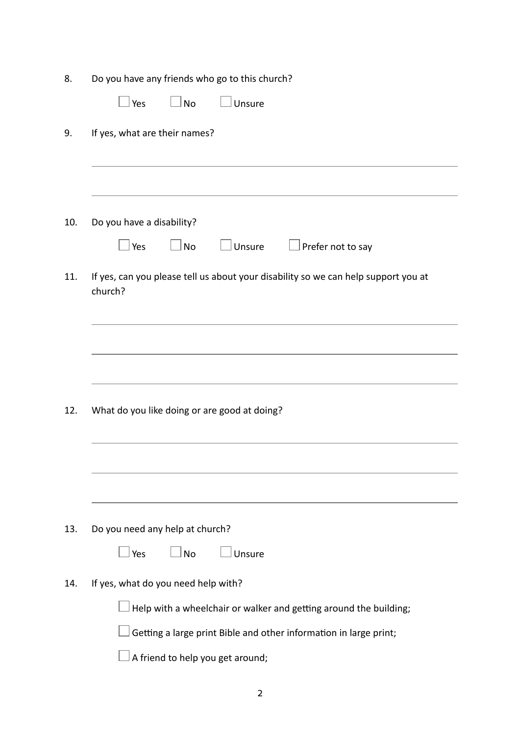| Unsure<br>Yes<br><b>No</b><br>If yes, what are their names?<br>Do you have a disability?<br>$\Box$ Prefer not to say<br>Yes<br>$\Box$ No<br>Unsure<br>If yes, can you please tell us about your disability so we can help support you at<br>church?<br>What do you like doing or are good at doing?<br>Do you need any help at church?<br><b>No</b><br>Unsure<br>Yes<br>If yes, what do you need help with?<br>Help with a wheelchair or walker and getting around the building;<br>Getting a large print Bible and other information in large print; | Do you have any friends who go to this church? |
|-------------------------------------------------------------------------------------------------------------------------------------------------------------------------------------------------------------------------------------------------------------------------------------------------------------------------------------------------------------------------------------------------------------------------------------------------------------------------------------------------------------------------------------------------------|------------------------------------------------|
|                                                                                                                                                                                                                                                                                                                                                                                                                                                                                                                                                       |                                                |
|                                                                                                                                                                                                                                                                                                                                                                                                                                                                                                                                                       |                                                |
|                                                                                                                                                                                                                                                                                                                                                                                                                                                                                                                                                       |                                                |
|                                                                                                                                                                                                                                                                                                                                                                                                                                                                                                                                                       |                                                |
|                                                                                                                                                                                                                                                                                                                                                                                                                                                                                                                                                       |                                                |
|                                                                                                                                                                                                                                                                                                                                                                                                                                                                                                                                                       |                                                |
|                                                                                                                                                                                                                                                                                                                                                                                                                                                                                                                                                       |                                                |
|                                                                                                                                                                                                                                                                                                                                                                                                                                                                                                                                                       |                                                |
|                                                                                                                                                                                                                                                                                                                                                                                                                                                                                                                                                       |                                                |
|                                                                                                                                                                                                                                                                                                                                                                                                                                                                                                                                                       |                                                |
|                                                                                                                                                                                                                                                                                                                                                                                                                                                                                                                                                       |                                                |
|                                                                                                                                                                                                                                                                                                                                                                                                                                                                                                                                                       |                                                |
|                                                                                                                                                                                                                                                                                                                                                                                                                                                                                                                                                       |                                                |
|                                                                                                                                                                                                                                                                                                                                                                                                                                                                                                                                                       |                                                |
|                                                                                                                                                                                                                                                                                                                                                                                                                                                                                                                                                       |                                                |
|                                                                                                                                                                                                                                                                                                                                                                                                                                                                                                                                                       |                                                |
|                                                                                                                                                                                                                                                                                                                                                                                                                                                                                                                                                       |                                                |
|                                                                                                                                                                                                                                                                                                                                                                                                                                                                                                                                                       |                                                |
|                                                                                                                                                                                                                                                                                                                                                                                                                                                                                                                                                       | A friend to help you get around;               |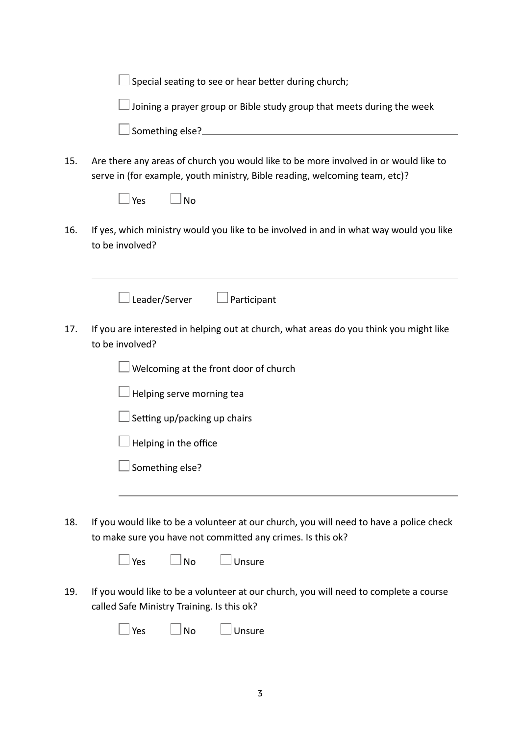|     | Special seating to see or hear better during church;                                                                                                                                    |
|-----|-----------------------------------------------------------------------------------------------------------------------------------------------------------------------------------------|
|     | Joining a prayer group or Bible study group that meets during the week                                                                                                                  |
|     |                                                                                                                                                                                         |
| 15. | Are there any areas of church you would like to be more involved in or would like to<br>serve in (for example, youth ministry, Bible reading, welcoming team, etc)?<br>Yes<br><b>No</b> |
| 16. | If yes, which ministry would you like to be involved in and in what way would you like<br>to be involved?                                                                               |
|     | Leader/Server<br>Participant                                                                                                                                                            |
| 17. | If you are interested in helping out at church, what areas do you think you might like<br>to be involved?                                                                               |
|     | Welcoming at the front door of church                                                                                                                                                   |
|     | Helping serve morning tea                                                                                                                                                               |
|     | Setting up/packing up chairs                                                                                                                                                            |
|     | Helping in the office                                                                                                                                                                   |
|     | Something else?                                                                                                                                                                         |
| 18. | If you would like to be a volunteer at our church, you will need to have a police check<br>to make sure you have not committed any crimes. Is this ok?<br>⊥No<br>Unsure<br>∣ Yes        |
| 19. | If you would like to be a volunteer at our church, you will need to complete a course<br>called Safe Ministry Training. Is this ok?<br>Yes<br><b>No</b><br>Unsure                       |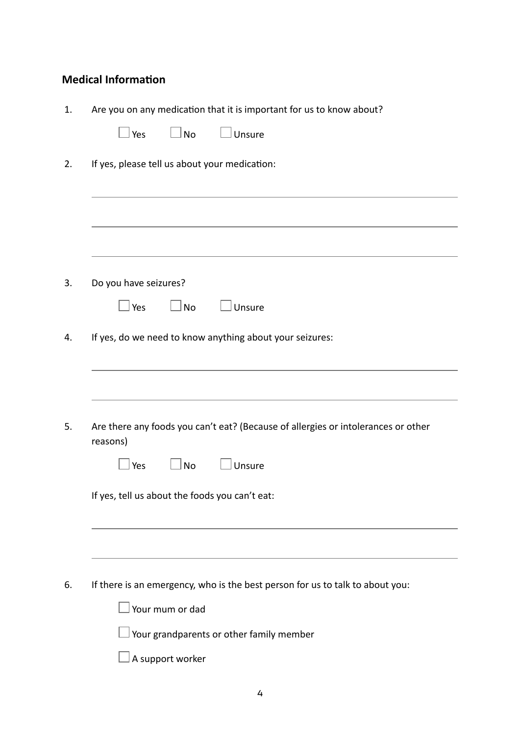## **Medical Information**

| $\Box$ No<br>$\Box$ Unsure<br>Yes<br>If yes, please tell us about your medication:               |
|--------------------------------------------------------------------------------------------------|
|                                                                                                  |
|                                                                                                  |
|                                                                                                  |
|                                                                                                  |
|                                                                                                  |
|                                                                                                  |
| Do you have seizures?                                                                            |
| $\Box$ No<br>Unsure<br>Yes                                                                       |
| If yes, do we need to know anything about your seizures:                                         |
|                                                                                                  |
|                                                                                                  |
|                                                                                                  |
|                                                                                                  |
| Are there any foods you can't eat? (Because of allergies or intolerances or other<br>reasons)    |
| Yes<br><b>No</b><br>Unsure                                                                       |
|                                                                                                  |
| If yes, tell us about the foods you can't eat:                                                   |
|                                                                                                  |
|                                                                                                  |
|                                                                                                  |
|                                                                                                  |
|                                                                                                  |
| If there is an emergency, who is the best person for us to talk to about you:<br>Your mum or dad |

 $\Box$  Your grandparents or other family member

 $\square$  A support worker